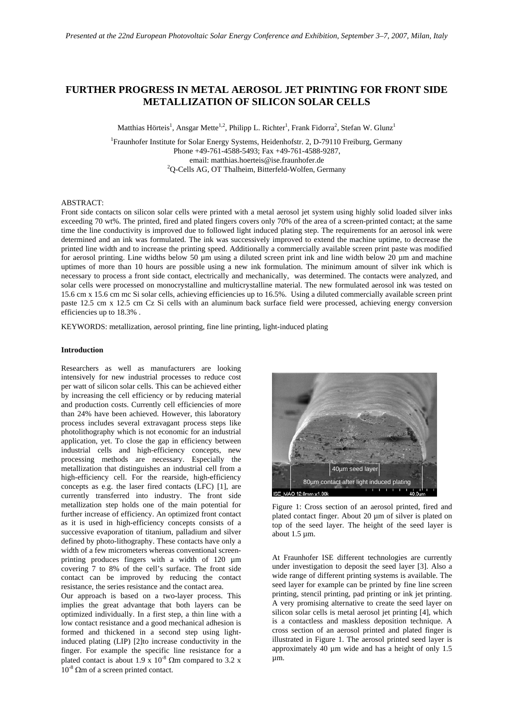# **FURTHER PROGRESS IN METAL AEROSOL JET PRINTING FOR FRONT SIDE METALLIZATION OF SILICON SOLAR CELLS**

Matthias Hörteis<sup>1</sup>, Ansgar Mette<sup>1,2</sup>, Philipp L. Richter<sup>1</sup>, Frank Fidorra<sup>2</sup>, Stefan W. Glunz<sup>1</sup>

<sup>1</sup>Fraunhofer Institute for Solar Energy Systems, Heidenhofstr. 2, D-79110 Freiburg, Germany Phone +49-761-4588-5493; Fax +49-761-4588-9287, email: matthias.hoerteis@ise.fraunhofer.de 2  ${}^{2}Q$ -Cells AG, OT Thalheim, Bitterfeld-Wolfen, Germany

## ABSTRACT:

Front side contacts on silicon solar cells were printed with a metal aerosol jet system using highly solid loaded silver inks exceeding 70 wt%. The printed, fired and plated fingers covers only 70% of the area of a screen-printed contact; at the same time the line conductivity is improved due to followed light induced plating step. The requirements for an aerosol ink were determined and an ink was formulated. The ink was successively improved to extend the machine uptime, to decrease the printed line width and to increase the printing speed. Additionally a commercially available screen print paste was modified for aerosol printing. Line widths below 50 µm using a diluted screen print ink and line width below 20 µm and machine uptimes of more than 10 hours are possible using a new ink formulation. The minimum amount of silver ink which is necessary to process a front side contact, electrically and mechanically, was determined. The contacts were analyzed, and solar cells were processed on monocrystalline and multicrystalline material. The new formulated aerosol ink was tested on 15.6 cm x 15.6 cm mc Si solar cells, achieving efficiencies up to 16.5%. Using a diluted commercially available screen print paste 12.5 cm x 12.5 cm Cz Si cells with an aluminum back surface field were processed, achieving energy conversion efficiencies up to 18.3% .

KEYWORDS: metallization, aerosol printing, fine line printing, light-induced plating

#### **Introduction**

Researchers as well as manufacturers are looking intensively for new industrial processes to reduce cost per watt of silicon solar cells. This can be achieved either by increasing the cell efficiency or by reducing material and production costs. Currently cell efficiencies of more than 24% have been achieved. However, this laboratory process includes several extravagant process steps like photolithography which is not economic for an industrial application, yet. To close the gap in efficiency between industrial cells and high-efficiency concepts, new processing methods are necessary. Especially the metallization that distinguishes an industrial cell from a high-efficiency cell. For the rearside, high-efficiency concepts as e.g. the laser fired contacts (LFC) [1], are currently transferred into industry. The front side metallization step holds one of the main potential for further increase of efficiency. An optimized front contact as it is used in high-efficiency concepts consists of a successive evaporation of titanium, palladium and silver defined by photo-lithography. These contacts have only a width of a few micrometers whereas conventional screenprinting produces fingers with a width of 120 um covering 7 to 8% of the cell's surface. The front side contact can be improved by reducing the contact resistance, the series resistance and the contact area.

Our approach is based on a two-layer process. This implies the great advantage that both layers can be optimized individually. In a first step, a thin line with a low contact resistance and a good mechanical adhesion is formed and thickened in a second step using lightinduced plating (LIP) [2]to increase conductivity in the finger. For example the specific line resistance for a plated contact is about 1.9 x  $10^{-8}$   $\Omega$ m compared to 3.2 x  $10^{-8}$  Ωm of a screen printed contact.



Figure 1: Cross section of an aerosol printed, fired and plated contact finger. About 20 um of silver is plated on top of the seed layer. The height of the seed layer is about 1.5 µm.

At Fraunhofer ISE different technologies are currently under investigation to deposit the seed layer [3]. Also a wide range of different printing systems is available. The seed layer for example can be printed by fine line screen printing, stencil printing, pad printing or ink jet printing. A very promising alternative to create the seed layer on silicon solar cells is metal aerosol jet printing [4], which is a contactless and maskless deposition technique. A cross section of an aerosol printed and plated finger is illustrated in Figure 1. The aerosol printed seed layer is approximately 40 µm wide and has a height of only 1.5 µm.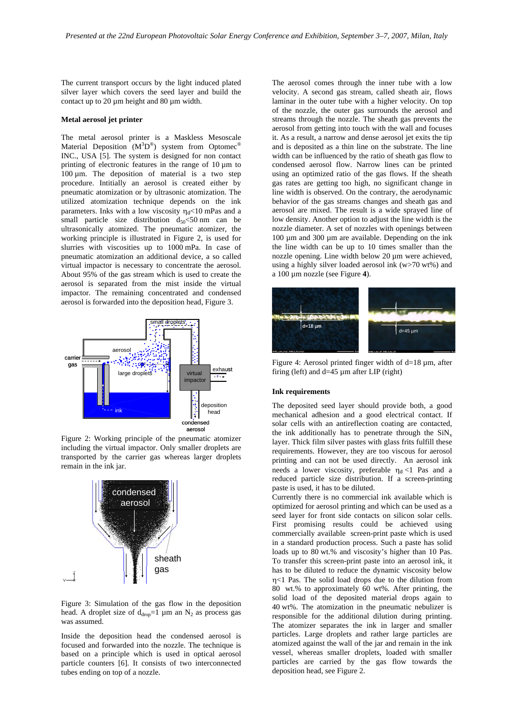The current transport occurs by the light induced plated silver layer which covers the seed layer and build the contact up to 20 um height and 80 um width.

## **Metal aerosol jet printer**

The metal aerosol printer is a Maskless Mesoscale Material Deposition  $(M^{3}D^{\circledast})$  system from Optomec<sup>®</sup> INC., USA [5]. The system is designed for non contact printing of electronic features in the range of  $10 \mu m$  to  $100 \mu m$ . The deposition of material is a two step procedure. Intitially an aerosol is created either by pneumatic atomization or by ultrasonic atomization. The utilized atomization technique depends on the ink parameters. Inks with a low viscosity  $\eta_d$ <10 mPas and a small particle size distribution  $d_{50}$ <50 nm can be ultrasonically atomized. The pneumatic atomizer, the working principle is illustrated in Figure 2, is used for slurries with viscosities up to 1000 mPa. In case of pneumatic atomization an additional device, a so called virtual impactor is necessary to concentrate the aerosol. About 95% of the gas stream which is used to create the aerosol is separated from the mist inside the virtual impactor. The remaining concentrated and condensed aerosol is forwarded into the deposition head, Figure 3.



Figure 2: Working principle of the pneumatic atomizer including the virtual impactor. Only smaller droplets are transported by the carrier gas whereas larger droplets remain in the ink jar.



Figure 3: Simulation of the gas flow in the deposition head. A droplet size of  $d_{\text{drop}}=1$  µm an  $N_2$  as process gas was assumed.

Inside the deposition head the condensed aerosol is focused and forwarded into the nozzle. The technique is based on a principle which is used in optical aerosol particle counters [6]. It consists of two interconnected tubes ending on top of a nozzle.

The aerosol comes through the inner tube with a low velocity. A second gas stream, called sheath air, flows laminar in the outer tube with a higher velocity. On top of the nozzle, the outer gas surrounds the aerosol and streams through the nozzle. The sheath gas prevents the aerosol from getting into touch with the wall and focuses it. As a result, a narrow and dense aerosol jet exits the tip and is deposited as a thin line on the substrate. The line width can be influenced by the ratio of sheath gas flow to condensed aerosol flow. Narrow lines can be printed using an optimized ratio of the gas flows. If the sheath gas rates are getting too high, no significant change in line width is observed. On the contrary, the aerodynamic behavior of the gas streams changes and sheath gas and aerosol are mixed. The result is a wide sprayed line of low density. Another option to adjust the line width is the nozzle diameter. A set of nozzles with openings between 100 µm and 300 µm are available. Depending on the ink the line width can be up to 10 times smaller than the nozzle opening. Line width below 20 µm were achieved, using a highly silver loaded aerosol ink (w>70 wt%) and a 100 µm nozzle (see Figure **4**).



Figure 4: Aerosol printed finger width of d=18 µm, after firing (left) and d=45 µm after LIP (right)

## **Ink requirements**

The deposited seed layer should provide both, a good mechanical adhesion and a good electrical contact. If solar cells with an antireflection coating are contacted, the ink additionally has to penetrate through the  $\text{SiN}_x$ layer. Thick film silver pastes with glass frits fulfill these requirements. However, they are too viscous for aerosol printing and can not be used directly. An aerosol ink needs a lower viscosity, preferable  $\eta_d$  <1 Pas and a reduced particle size distribution. If a screen-printing paste is used, it has to be diluted.

Currently there is no commercial ink available which is optimized for aerosol printing and which can be used as a seed layer for front side contacts on silicon solar cells. First promising results could be achieved using commercially available screen-print paste which is used in a standard production process. Such a paste has solid loads up to 80 wt.% and viscosity's higher than 10 Pas. To transfer this screen-print paste into an aerosol ink, it has to be diluted to reduce the dynamic viscosity below η<1 Pas. The solid load drops due to the dilution from 80 wt.% to approximately 60 wt%. After printing, the solid load of the deposited material drops again to 40 wt%. The atomization in the pneumatic nebulizer is responsible for the additional dilution during printing. The atomizer separates the ink in larger and smaller particles. Large droplets and rather large particles are atomized against the wall of the jar and remain in the ink vessel, whereas smaller droplets, loaded with smaller particles are carried by the gas flow towards the deposition head, see Figure 2.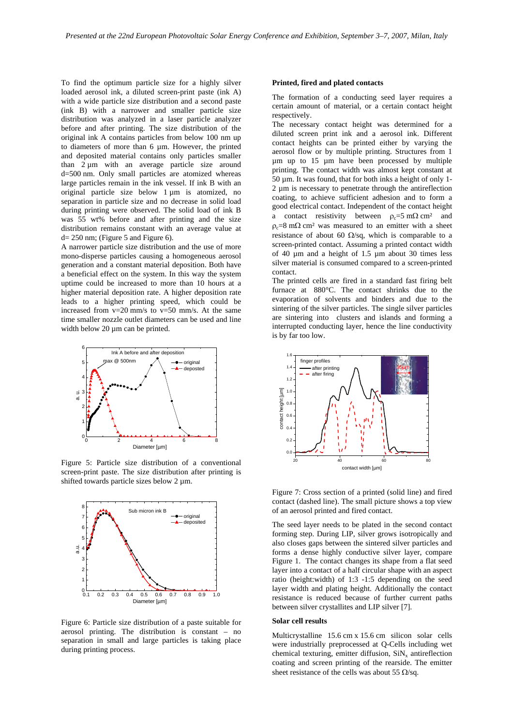To find the optimum particle size for a highly silver loaded aerosol ink, a diluted screen-print paste (ink A) with a wide particle size distribution and a second paste (ink B) with a narrower and smaller particle size distribution was analyzed in a laser particle analyzer before and after printing. The size distribution of the original ink A contains particles from below 100 nm up to diameters of more than  $6 \mu m$ . However, the printed and deposited material contains only particles smaller than 2 µm with an average particle size around d=500 nm. Only small particles are atomized whereas large particles remain in the ink vessel. If ink B with an original particle size below 1 µm is atomized, no separation in particle size and no decrease in solid load during printing were observed. The solid load of ink B was 55 wt% before and after printing and the size distribution remains constant with an average value at  $d= 250$  nm; (Figure 5 and Figure 6).

A narrower particle size distribution and the use of more mono-disperse particles causing a homogeneous aerosol generation and a constant material deposition. Both have a beneficial effect on the system. In this way the system uptime could be increased to more than 10 hours at a higher material deposition rate. A higher deposition rate leads to a higher printing speed, which could be increased from  $v=20$  mm/s to  $v=50$  mm/s. At the same time smaller nozzle outlet diameters can be used and line width below 20  $\mu$ m can be printed.



Figure 5: Particle size distribution of a conventional screen-print paste. The size distribution after printing is shifted towards particle sizes below 2  $\mu$ m.



Figure 6: Particle size distribution of a paste suitable for aerosol printing. The distribution is constant – no separation in small and large particles is taking place during printing process.

## **Printed, fired and plated contacts**

The formation of a conducting seed layer requires a certain amount of material, or a certain contact height respectively.

The necessary contact height was determined for a diluted screen print ink and a aerosol ink. Different contact heights can be printed either by varying the aerosol flow or by multiple printing. Structures from 1 µm up to 15 µm have been processed by multiple printing. The contact width was almost kept constant at 50 µm. It was found, that for both inks a height of only 1- 2 µm is necessary to penetrate through the antireflection coating, to achieve sufficient adhesion and to form a good electrical contact. Independent of the contact height a contact resistivity between  $\rho_c = 5 \text{ m}\Omega \text{ cm}^2$  and  $\rho_c=8$  m $\Omega$  cm<sup>2</sup> was measured to an emitter with a sheet resistance of about 60  $\Omega$ /sq, which is comparable to a screen-printed contact. Assuming a printed contact width of 40  $\mu$ m and a height of 1.5  $\mu$ m about 30 times less silver material is consumed compared to a screen-printed contact.

The printed cells are fired in a standard fast firing belt furnace at 880°C. The contact shrinks due to the evaporation of solvents and binders and due to the sintering of the silver particles. The single silver particles are sintering into clusters and islands and forming a interrupted conducting layer, hence the line conductivity is by far too low.



Figure 7: Cross section of a printed (solid line) and fired contact (dashed line). The small picture shows a top view of an aerosol printed and fired contact.

The seed layer needs to be plated in the second contact forming step. During LIP, silver grows isotropically and also closes gaps between the sintered silver particles and forms a dense highly conductive silver layer, compare Figure 1. The contact changes its shape from a flat seed layer into a contact of a half circular shape with an aspect ratio (height:width) of 1:3 -1:5 depending on the seed layer width and plating height. Additionally the contact resistance is reduced because of further current paths between silver crystallites and LIP silver [7].

### **Solar cell results**

Multicrystalline 15.6 cm x 15.6 cm silicon solar cells were industrially preprocessed at Q-Cells including wet chemical texturing, emitter diffusion,  $\text{SiN}_x$  antireflection coating and screen printing of the rearside. The emitter sheet resistance of the cells was about 55  $\Omega$ /sq.